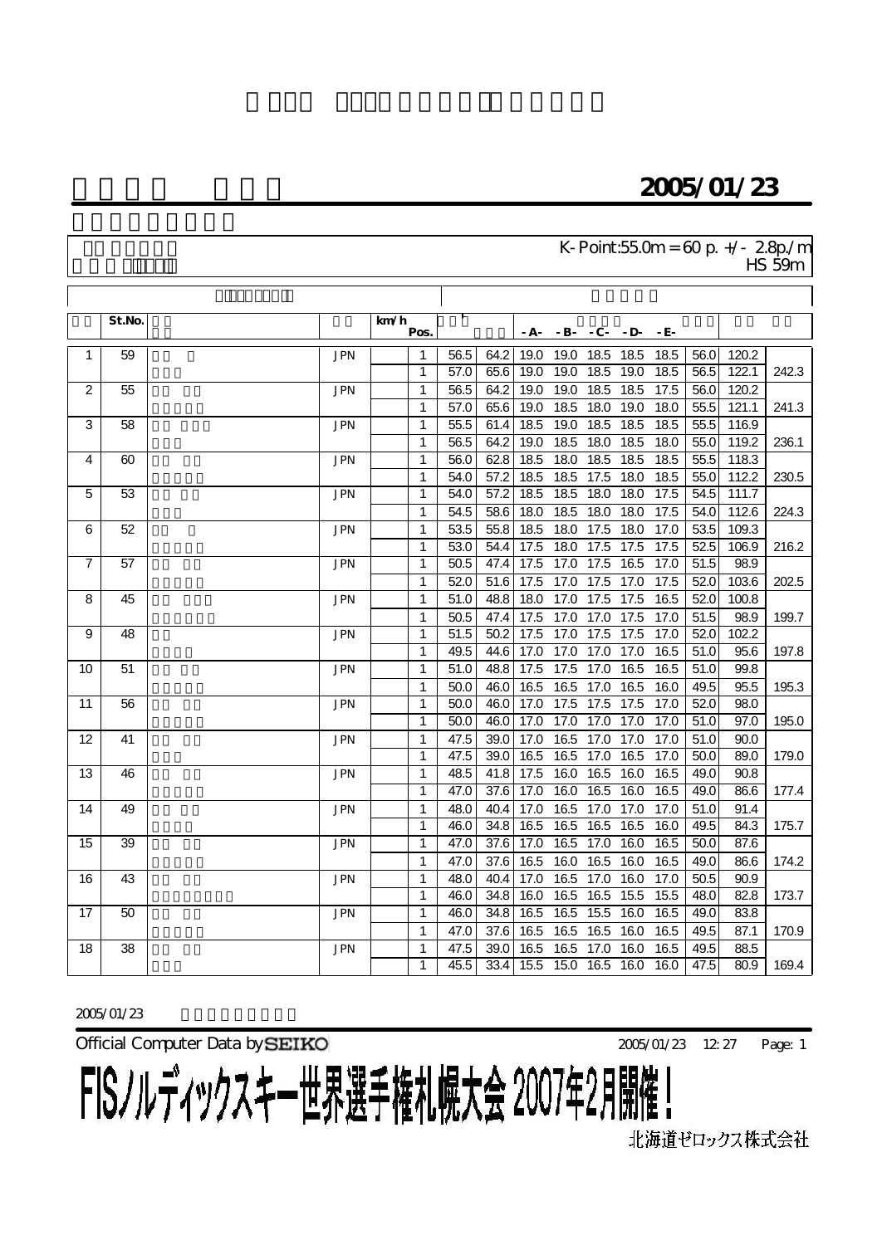## 2005/01/23

#### $K$ - Point:55.0m = 60 p.  $+/- 2.8p/m$  $\frac{1}{\sqrt{15}}$  59m

|                 | St.No. |            | km/h<br>Pos. |      |                   | - <b>A</b> - | $-B$ - | $-C - D$ |      | - E- |                   |       |       |
|-----------------|--------|------------|--------------|------|-------------------|--------------|--------|----------|------|------|-------------------|-------|-------|
| 1               | 59     | <b>JPN</b> | $\mathbf{1}$ | 56.5 | 64.2              | 19.0         | 19.0   | 18.5     | 18.5 | 18.5 | 56.0              | 120.2 |       |
|                 |        |            | $\mathbf{1}$ | 57.0 | 65.6              | 19.0         | 19.0   | 18.5     | 19.0 | 18.5 | 56.5              | 122.1 | 242.3 |
| 2               | 55     | <b>JPN</b> | 1            | 56.5 | 64.2              | 19.0         | 19.0   | 18.5     | 18.5 | 17.5 | 56.0              | 120.2 |       |
|                 |        |            | 1            | 57.0 | 65.6              | 19.0         | 18.5   | 18.0     | 19.0 | 18.0 | 55.5              | 121.1 | 241.3 |
| 3               | 58     | <b>JPN</b> | $\mathbf{1}$ | 55.5 | 61.4              | 18.5         | 19.0   | 18.5     | 18.5 | 18.5 | 55.5              | 116.9 |       |
|                 |        |            | 1            | 56.5 | 64.2              | 19.0         | 18.5   | 18.0     | 18.5 | 18.0 | 55.0              | 119.2 | 236.1 |
| 4               | 60     | <b>JPN</b> | 1            | 56.0 | 62.8              | 18.5         | 18.0   | 18.5     | 18.5 | 18.5 | 55.5              | 118.3 |       |
|                 |        |            | $\mathbf{1}$ | 54.0 | 57.2              | 18.5         | 18.5   | 17.5     | 18.0 | 18.5 | 55.0              | 112.2 | 230.5 |
| 5               | 53     | <b>JPN</b> | $\mathbf{1}$ | 54.0 | 57.2              | 18.5         | 18.5   | 18.0     | 18.0 | 17.5 | 54.5              | 111.7 |       |
|                 |        |            | 1            | 54.5 | 58.6              | 18.0         | 18.5   | 18.0     | 18.0 | 17.5 | 54.0              | 112.6 | 224.3 |
| 6               | 52     | <b>JPN</b> | $\mathbf{1}$ | 53.5 | 55.8              | 18.5         | 18.0   | 17.5     | 18.0 | 17.0 | 53.5              | 109.3 |       |
|                 |        |            | $\mathbf{1}$ | 53.0 | 54.4              | 17.5         | 18.0   | 17.5     | 17.5 | 17.5 | 52.5              | 106.9 | 216.2 |
| $\overline{7}$  | 57     | <b>JPN</b> | 1            | 50.5 | 47.4              | 17.5         | 17.0   | 17.5     | 16.5 | 17.0 | $\overline{51.5}$ | 98.9  |       |
|                 |        |            | 1            | 52.0 | $\overline{51.6}$ | 17.5         | 17.0   | 17.5     | 17.0 | 17.5 | 52.0              | 103.6 | 202.5 |
| 8               | 45     | <b>JPN</b> | 1            | 51.0 | 48.8              | 18.0         | 17.0   | 17.5     | 17.5 | 16.5 | 52.0              | 100.8 |       |
|                 |        |            | 1            | 50.5 | 47.4              | 17.5         | 17.0   | 17.0     | 17.5 | 17.0 | 51.5              | 98.9  | 199.7 |
| 9               | 48     | <b>JPN</b> | $\mathbf{1}$ | 51.5 | 50.2              | 17.5         | 17.0   | 17.5     | 17.5 | 17.0 | 52.0              | 102.2 |       |
|                 |        |            | 1            | 49.5 | 44.6              | 17.0         | 17.0   | 17.0     | 17.0 | 16.5 | 51.0              | 95.6  | 197.8 |
| 10              | 51     | <b>JPN</b> | 1            | 51.0 | 48.8              | 17.5         | 17.5   | 17.0     | 16.5 | 16.5 | 51.0              | 99.8  |       |
|                 |        |            | $\mathbf{1}$ | 50.0 | 46.0              | 16.5         | 16.5   | 17.0     | 16.5 | 16.0 | 49.5              | 95.5  | 195.3 |
| 11              | 56     | <b>JPN</b> | 1            | 50.0 | 46.0              | 17.0         | 17.5   | 17.5     | 17.5 | 17.0 | 52.0              | 98.0  |       |
|                 |        |            | 1            | 50.0 | 46.0              | 17.0         | 17.0   | 17.0     | 17.0 | 17.0 | 51.0              | 97.0  | 195.0 |
| 12              | 41     | <b>JPN</b> | 1            | 47.5 | 39.0              | 17.0         | 16.5   | 17.0     | 17.0 | 17.0 | 51.0              | 90.0  |       |
|                 |        |            | 1            | 47.5 | 39.0              | 16.5         | 16.5   | 17.0     | 16.5 | 17.0 | 50.0              | 89.0  | 179.0 |
| $\overline{13}$ | 46     | <b>JPN</b> | 1            | 48.5 | 41.8              | 17.5         | 16.0   | 16.5     | 16.0 | 16.5 | 49.0              | 90.8  |       |
|                 |        |            | $\mathbf{1}$ | 47.0 | $\overline{37.6}$ | 17.0         | 16.0   | 16.5     | 16.0 | 16.5 | 49.0              | 86.6  | 177.4 |
| 14              | 49     | <b>JPN</b> | 1            | 48.0 | 40.4              | 17.0         | 16.5   | 17.0     | 17.0 | 17.0 | 51.0              | 91.4  |       |
|                 |        |            | $\mathbf{1}$ | 46.0 | 34.8              | 16.5         | 16.5   | 16.5     | 16.5 | 16.0 | 49.5              | 84.3  | 175.7 |
| 15              | 39     | <b>JPN</b> | 1            | 47.0 | $\overline{37.6}$ | 17.0         | 16.5   | 17.0     | 16.0 | 16.5 | 50.0              | 87.6  |       |
|                 |        |            | $\mathbf{1}$ | 47.0 | 37.6              | 16.5         | 16.0   | 16.5     | 16.0 | 16.5 | 49.0              | 86.6  | 174.2 |
| 16              | 43     | <b>JPN</b> | 1            | 48.0 | 40.4              | 17.0         | 16.5   | 17.0     | 16.0 | 17.0 | 50.5              | 90.9  |       |
|                 |        |            | 1            | 46.0 | 34.8              | 16.0         | 16.5   | 16.5     | 15.5 | 15.5 | 48.0              | 82.8  | 173.7 |
| 17              | 50     | <b>JPN</b> | 1            | 46.0 | 34.8              | 16.5         | 16.5   | 15.5     | 16.0 | 16.5 | 49.0              | 83.8  |       |
|                 |        |            | 1            | 47.0 | 37.6              | 16.5         | 16.5   | 16.5     | 16.0 | 16.5 | 49.5              | 87.1  | 170.9 |
| 18              | 38     | <b>JPN</b> | 1            | 47.5 | 39.0              | 16.5         | 16.5   | 17.0     | 16.0 | 16.5 | 49.5              | 88.5  |       |
|                 |        |            | 1            | 45.5 | 33.4              | 15.5         | 15.0   | 16.5     | 16.0 | 16.0 | 47.5              | 80.9  | 169.4 |

2005/01/23

Official Computer Data by **SEIKO** 2005/01/23 12:27

Page: 1

FISノルディックスキー世界選手権札幌大会 2007年2月開催!

北海道ゼロックス株式会社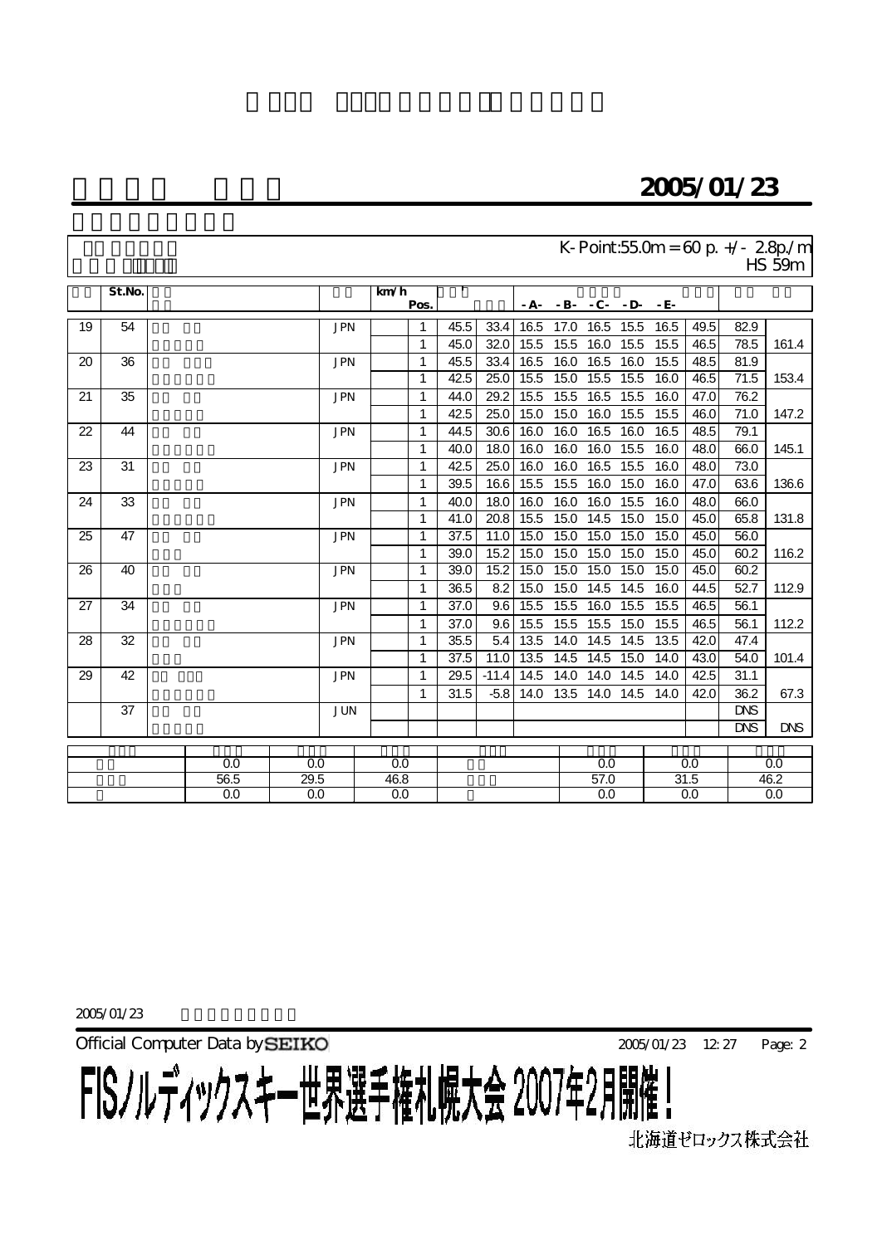## 2005/01/23

| K-Point:55.0m = $60 p$ +/- 2.8p/m |
|-----------------------------------|
| $HS$ 59 $m$                       |

|    | St.No. |      |      |            | km/h | Pos. |      |         |      | $-A - B - C - D$ |                   |      | - E- |      |            |            |
|----|--------|------|------|------------|------|------|------|---------|------|------------------|-------------------|------|------|------|------------|------------|
|    |        |      |      |            |      |      |      |         |      |                  |                   |      |      |      |            |            |
| 19 | 54     |      |      | <b>JPN</b> |      | 1    | 45.5 | 33.4    | 16.5 | 17.0             | 16.5              | 15.5 | 16.5 | 49.5 | 82.9       |            |
|    |        |      |      |            |      | 1    | 45.0 | 32.0    | 15.5 | 15.5             | 16.0              | 15.5 | 15.5 | 46.5 | 78.5       | 161.4      |
| 20 | 36     |      |      | <b>JPN</b> |      | 1    | 45.5 | 33.4    | 16.5 | 16.0             | 16.5              | 16.0 | 15.5 | 48.5 | 81.9       |            |
|    |        |      |      |            |      | 1    | 42.5 | 25.0    | 15.5 | 15.0             | 15.5              | 15.5 | 16.0 | 46.5 | 71.5       | 153.4      |
| 21 | 35     |      |      | <b>JPN</b> |      | 1    | 44.0 | 29.2    | 15.5 | 15.5             | $\overline{16.5}$ | 15.5 | 16.0 | 47.0 | 76.2       |            |
|    |        |      |      |            |      | 1    | 42.5 | 25.0    | 15.0 | 15.0             | 16.0              | 15.5 | 15.5 | 46.0 | 71.0       | 147.2      |
| 22 | 44     |      |      | <b>JPN</b> |      | 1    | 44.5 | 30.6    | 16.0 | 16.0             | 16.5              | 16.0 | 16.5 | 48.5 | 79.1       |            |
|    |        |      |      |            |      | 1    | 40.0 | 18.0    | 16.0 | 16.0             | 16.0              | 15.5 | 16.0 | 48.0 | 66.0       | 145.1      |
| 23 | 31     |      |      | <b>JPN</b> |      | 1    | 42.5 | 25.0    | 16.0 | 16.0             | 16.5              | 15.5 | 16.0 | 48.0 | 73.0       |            |
|    |        |      |      |            |      | 1    | 39.5 | 16.6    | 15.5 | 15.5             | 16.0              | 15.0 | 16.0 | 47.0 | 63.6       | 136.6      |
| 24 | 33     |      |      | <b>JPN</b> |      | 1    | 40.0 | 18.0    | 16.0 | 16.0             | 16.0              | 15.5 | 16.0 | 48.0 | 66.0       |            |
|    |        |      |      |            |      | 1    | 41.0 | 20.8    | 15.5 | 15.0             | 14.5              | 15.0 | 15.0 | 45.0 | 65.8       | 131.8      |
| 25 | 47     |      |      | <b>JPN</b> |      | 1    | 37.5 | 11.0    | 15.0 | 15.0             | 15.0              | 15.0 | 15.0 | 45.0 | 56.0       |            |
|    |        |      |      |            |      | 1    | 39.0 | 15.2    | 15.0 | 15.0             | 15.0              | 15.0 | 15.0 | 45.0 | 60.2       | 116.2      |
| 26 | 40     |      |      | <b>JPN</b> |      | 1    | 39.0 | 15.2    | 15.0 | 15.0             | 15.0              | 15.0 | 15.0 | 45.0 | 60.2       |            |
|    |        |      |      |            |      | 1    | 36.5 | 8.2     | 15.0 | 15.0             | 14.5              | 14.5 | 16.0 | 44.5 | 52.7       | 112.9      |
| 27 | 34     |      |      | <b>JPN</b> |      | 1    | 37.0 | 9.6     | 15.5 | 15.5             | 16.0              | 15.5 | 15.5 | 46.5 | 56.1       |            |
|    |        |      |      |            |      | 1    | 37.0 | 9.6     | 15.5 | 15.5             | 15.5              | 15.0 | 15.5 | 46.5 | 56.1       | 112.2      |
| 28 | 32     |      |      | <b>JPN</b> |      | 1    | 35.5 | 5.4     | 13.5 | 14.0             | 14.5              | 14.5 | 13.5 | 42.0 | 47.4       |            |
|    |        |      |      |            |      | 1    | 37.5 | 11.0    | 13.5 | 14.5             | 14.5              | 15.0 | 14.0 | 43.0 | 54.0       | 101.4      |
| 29 | 42     |      |      | <b>JPN</b> |      | 1    | 29.5 | $-11.4$ | 14.5 | 14.0             | 14.0              | 14.5 | 14.0 | 42.5 | 31.1       |            |
|    |        |      |      |            |      | 1    | 31.5 | $-5.8$  | 14.0 | 13.5             | 14.0              | 14.5 | 14.0 | 42.0 | 36.2       | 67.3       |
|    | 37     |      |      | <b>JUN</b> |      |      |      |         |      |                  |                   |      |      |      | <b>DNS</b> |            |
|    |        |      |      |            |      |      |      |         |      |                  |                   |      |      |      | <b>DNS</b> | <b>DNS</b> |
|    |        |      |      |            |      |      |      |         |      |                  |                   |      |      |      |            |            |
|    |        |      | 0.0  | 0.0        | 0.0  |      |      |         |      |                  | 0.0               |      |      | 0.0  |            | 0.0        |
|    |        | 56.5 | 29.5 | 46.8       |      |      |      |         |      | 57.0             |                   | 31.5 |      | 46.2 |            |            |
|    |        |      | 0.0  | 0.0        | 0.0  |      |      |         |      | 0.0              |                   |      | 0.0  |      | 0.0        |            |

2005/01/23

Official Computer Data by **SEIKO** 2005/01/23 12:27 FISノルディックスキー世界選手権札幌大会 2007年2月開催!

Page: 2

北海道ゼロックス株式会社